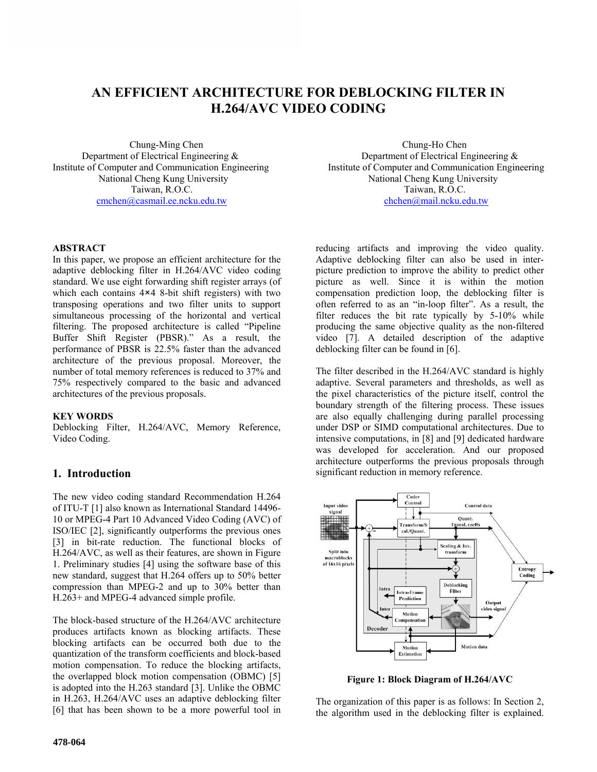# **AN EFFICIENT ARCHITECTURE FOR DEBLOCKING FILTER IN H.264/AVC VIDEO CODING**

Department of Electrical Engineering & Department of Electrical Engineering & cmchen@casmail.ee.ncku.edu.tw

## **ABSTRACT**

In this paper, we propose an efficient architecture for the adaptive deblocking filter in H.264/AVC video coding standard. We use eight forwarding shift register arrays (of which each contains  $4\times4$  8-bit shift registers) with two transposing operations and two filter units to support simultaneous processing of the horizontal and vertical filtering. The proposed architecture is called "Pipeline Buffer Shift Register (PBSR)." As a result, the performance of PBSR is 22.5% faster than the advanced architecture of the previous proposal. Moreover, the number of total memory references is reduced to 37% and 75% respectively compared to the basic and advanced architectures of the previous proposals.

### **KEY WORDS**

Deblocking Filter, H.264/AVC, Memory Reference, Video Coding.

# **1. Introduction**

The new video coding standard Recommendation H.264 of ITU-T [1] also known as International Standard 14496- 10 or MPEG-4 Part 10 Advanced Video Coding (AVC) of ISO/IEC [2], significantly outperforms the previous ones [3] in bit-rate reduction. The functional blocks of H.264/AVC, as well as their features, are shown in Figure 1. Preliminary studies [4] using the software base of this new standard, suggest that H.264 offers up to 50% better compression than MPEG-2 and up to 30% better than H.263+ and MPEG-4 advanced simple profile.

The block-based structure of the H.264/AVC architecture produces artifacts known as blocking artifacts. These blocking artifacts can be occurred both due to the quantization of the transform coefficients and block-based motion compensation. To reduce the blocking artifacts, the overlapped block motion compensation (OBMC) [5] is adopted into the H.263 standard [3]. Unlike the OBMC in H.263, H.264/AVC uses an adaptive deblocking filter [6] that has been shown to be a more powerful tool in

Chung-Ming Chen<br>
of Electrical Engineering &<br>
Department of Electrical Engineering &<br>
Department of Electrical Engineering & Institute of Computer and Communication Engineering Institute of Computer and Communication Engineering National Cheng Kung University<br>
Taiwan. R.O.C.<br>
Taiwan. R.O.C.<br>
Taiwan. R.O.C. Taiwan, R.O.C.<br>chchen@mail.ncku.edu.tw

> reducing artifacts and improving the video quality. Adaptive deblocking filter can also be used in interpicture prediction to improve the ability to predict other picture as well. Since it is within the motion compensation prediction loop, the deblocking filter is often referred to as an "in-loop filter". As a result, the filter reduces the bit rate typically by 5-10% while producing the same objective quality as the non-filtered video [7]. A detailed description of the adaptive deblocking filter can be found in [6].

> The filter described in the H.264/AVC standard is highly adaptive. Several parameters and thresholds, as well as the pixel characteristics of the picture itself, control the boundary strength of the filtering process. These issues are also equally challenging during parallel processing under DSP or SIMD computational architectures. Due to intensive computations, in [8] and [9] dedicated hardware was developed for acceleration. And our proposed architecture outperforms the previous proposals through significant reduction in memory reference.



**Figure 1: Block Diagram of H.264/AVC** 

The organization of this paper is as follows: In Section 2, the algorithm used in the deblocking filter is explained.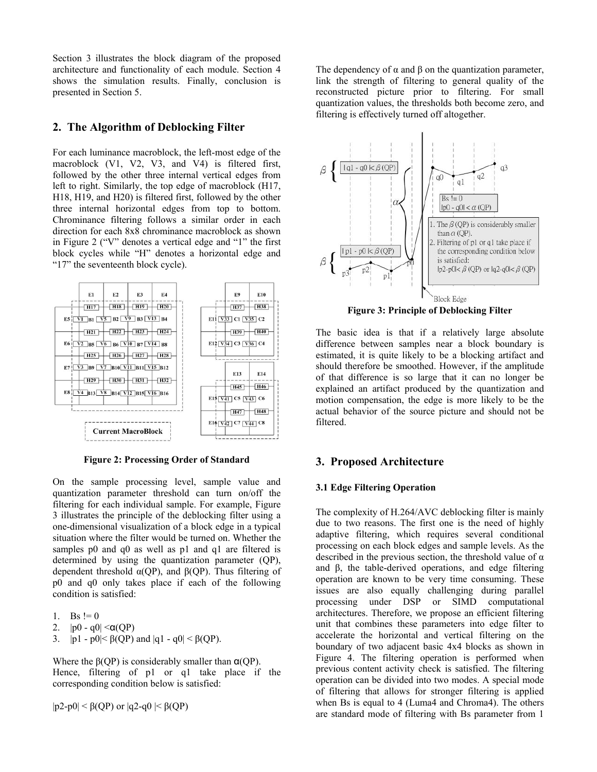Section 3 illustrates the block diagram of the proposed architecture and functionality of each module. Section 4 shows the simulation results. Finally, conclusion is presented in Section 5.

# **2. The Algorithm of Deblocking Filter**

For each luminance macroblock, the left-most edge of the macroblock (V1, V2, V3, and V4) is filtered first, followed by the other three internal vertical edges from left to right. Similarly, the top edge of macroblock (H17, H18, H19, and H20) is filtered first, followed by the other three internal horizontal edges from top to bottom. Chrominance filtering follows a similar order in each direction for each 8x8 chrominance macroblock as shown in Figure 2 ("V" denotes a vertical edge and "1" the first block cycles while "H" denotes a horizontal edge and "17" the seventeenth block cycle).



**Figure 2: Processing Order of Standard 3. Proposed Architecture** 

On the sample processing level, sample value and quantization parameter threshold can turn on/off the filtering for each individual sample. For example, Figure 3 illustrates the principle of the deblocking filter using a one-dimensional visualization of a block edge in a typical situation where the filter would be turned on. Whether the samples p0 and q0 as well as p1 and q1 are filtered is determined by using the quantization parameter (QP), dependent threshold  $\alpha(QP)$ , and  $\beta(QP)$ . Thus filtering of p0 and q0 only takes place if each of the following condition is satisfied:

1. Bs  $!= 0$ 

2.  $|p0 - q0| < \alpha(QP)$ 

3.  $|p1 - p0| < \beta(QP)$  and  $|q1 - q0| < \beta(QP)$ .

Where the  $\beta$ (OP) is considerably smaller than  $\alpha$ (OP). Hence, filtering of p1 or q1 take place if the corresponding condition below is satisfied:

 $|p2-p0| < \beta(QP)$  or  $|q2-q0| < \beta(QP)$ 

The dependency of  $\alpha$  and  $\beta$  on the quantization parameter, link the strength of filtering to general quality of the reconstructed picture prior to filtering. For small quantization values, the thresholds both become zero, and filtering is effectively turned off altogether.



**Figure 3: Principle of Deblocking Filter** 

The basic idea is that if a relatively large absolute difference between samples near a block boundary is estimated, it is quite likely to be a blocking artifact and should therefore be smoothed. However, if the amplitude of that difference is so large that it can no longer be explained an artifact produced by the quantization and motion compensation, the edge is more likely to be the actual behavior of the source picture and should not be filtered.

### **3.1 Edge Filtering Operation**

The complexity of H.264/AVC deblocking filter is mainly due to two reasons. The first one is the need of highly adaptive filtering, which requires several conditional processing on each block edges and sample levels. As the described in the previous section, the threshold value of  $\alpha$ and β, the table-derived operations, and edge filtering operation are known to be very time consuming. These issues are also equally challenging during parallel processing under DSP or SIMD computational architectures. Therefore, we propose an efficient filtering unit that combines these parameters into edge filter to accelerate the horizontal and vertical filtering on the boundary of two adjacent basic 4x4 blocks as shown in Figure 4. The filtering operation is performed when previous content activity check is satisfied. The filtering operation can be divided into two modes. A special mode of filtering that allows for stronger filtering is applied when Bs is equal to 4 (Luma4 and Chroma4). The others are standard mode of filtering with Bs parameter from 1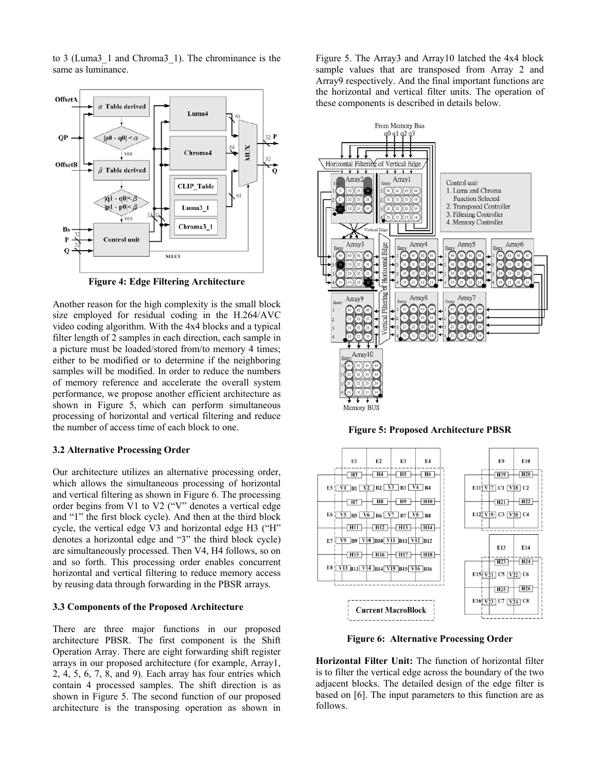to 3 (Luma3\_1 and Chroma3\_1). The chrominance is the same as luminance.



**Figure 4: Edge Filtering Architecture**

Another reason for the high complexity is the small block size employed for residual coding in the H.264/AVC video coding algorithm. With the 4x4 blocks and a typical filter length of 2 samples in each direction, each sample in a picture must be loaded/stored from/to memory 4 times; either to be modified or to determine if the neighboring samples will be modified. In order to reduce the numbers of memory reference and accelerate the overall system performance, we propose another efficient architecture as shown in Figure 5, which can perform simultaneous processing of horizontal and vertical filtering and reduce the number of access time of each block to one.

### **3.2 Alternative Processing Order**

Our architecture utilizes an alternative processing order, which allows the simultaneous processing of horizontal and vertical filtering as shown in Figure 6. The processing order begins from V1 to V2 ("V" denotes a vertical edge and "1" the first block cycle). And then at the third block cycle, the vertical edge V3 and horizontal edge H3 ("H" denotes a horizontal edge and "3" the third block cycle) are simultaneously processed. Then V4, H4 follows, so on and so forth. This processing order enables concurrent horizontal and vertical filtering to reduce memory access by reusing data through forwarding in the PBSR arrays.

### **3.3 Components of the Proposed Architecture**

There are three major functions in our proposed architecture PBSR. The first component is the Shift Operation Array. There are eight forwarding shift register arrays in our proposed architecture (for example, Array1, 2, 4, 5, 6, 7, 8, and 9). Each array has four entries which contain 4 processed samples. The shift direction is as shown in Figure 5. The second function of our proposed architecture is the transposing operation as shown in Figure 5. The Array3 and Array10 latched the 4x4 block sample values that are transposed from Array 2 and Array9 respectively. And the final important functions are the horizontal and vertical filter units. The operation of these components is described in details below.



**Figure 5: Proposed Architecture PBSR**



**Figure 6: Alternative Processing Order** 

**Horizontal Filter Unit:** The function of horizontal filter is to filter the vertical edge across the boundary of the two adjacent blocks. The detailed design of the edge filter is based on [6]. The input parameters to this function are as follows.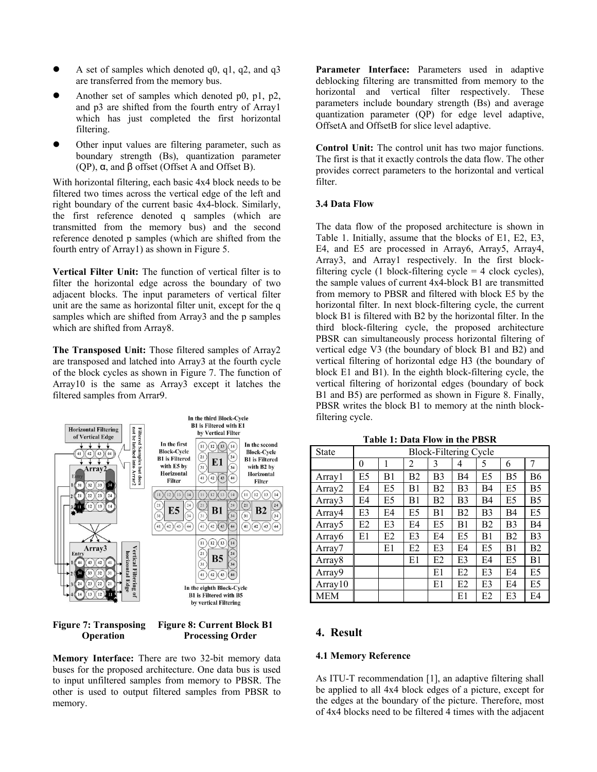- A set of samples which denoted  $q0$ ,  $q1$ ,  $q2$ , and  $q3$ are transferred from the memory bus.
- Another set of samples which denoted p0, p1, p2, and p3 are shifted from the fourth entry of Array1 which has just completed the first horizontal filtering.
- Other input values are filtering parameter, such as boundary strength (Bs), quantization parameter (QP), α, and β offset (Offset A and Offset B).

With horizontal filtering, each basic 4x4 block needs to be filter. filtered two times across the vertical edge of the left and right boundary of the current basic 4x4-block. Similarly, the first reference denoted q samples (which are transmitted from the memory bus) and the second reference denoted p samples (which are shifted from the fourth entry of Array1) as shown in Figure 5.

**Vertical Filter Unit:** The function of vertical filter is to filter the horizontal edge across the boundary of two adjacent blocks. The input parameters of vertical filter unit are the same as horizontal filter unit, except for the q samples which are shifted from Array3 and the p samples which are shifted from Array8.

**The Transposed Unit:** Those filtered samples of Array2 are transposed and latched into Array3 at the fourth cycle of the block cycles as shown in Figure 7. The function of Array10 is the same as Array3 except it latches the filtered samples from Arrar9.





**Memory Interface:** There are two 32-bit memory data **4.1 Memory Reference** buses for the proposed architecture. One data bus is used to input unfiltered samples from memory to PBSR. The other is used to output filtered samples from PBSR to memory.

**Parameter Interface:** Parameters used in adaptive deblocking filtering are transmitted from memory to the horizontal and vertical filter respectively. These parameters include boundary strength (Bs) and average quantization parameter (QP) for edge level adaptive, OffsetA and OffsetB for slice level adaptive.

**Control Unit:** The control unit has two major functions. The first is that it exactly controls the data flow. The other provides correct parameters to the horizontal and vertical

### **3.4 Data Flow**

The data flow of the proposed architecture is shown in Table 1. Initially, assume that the blocks of E1, E2, E3, E4, and E5 are processed in Array6, Array5, Array4, Array3, and Array1 respectively. In the first blockfiltering cycle (1 block-filtering cycle  $=$  4 clock cycles), the sample values of current 4x4-block B1 are transmitted from memory to PBSR and filtered with block E5 by the horizontal filter. In next block-filtering cycle, the current block B1 is filtered with B2 by the horizontal filter. In the third block-filtering cycle, the proposed architecture PBSR can simultaneously process horizontal filtering of vertical edge V3 (the boundary of block B1 and B2) and vertical filtering of horizontal edge H3 (the boundary of block E1 and B1). In the eighth block-filtering cycle, the vertical filtering of horizontal edges (boundary of bock B1 and B5) are performed as shown in Figure 8. Finally, PBSR writes the block B1 to memory at the ninth blockfiltering cycle.

| <b>State</b>       | <b>Block-Filtering Cycle</b> |                |                |                |                |                |                |           |
|--------------------|------------------------------|----------------|----------------|----------------|----------------|----------------|----------------|-----------|
|                    | 0                            |                | 2              | 3              | 4              | 5              | 6              | 7         |
| Array              | E5                           | B1             | B <sub>2</sub> | B <sub>3</sub> | B4             | E5             | B5             | B6        |
| Array2             | E4                           | E5             | B1             | B <sub>2</sub> | B <sub>3</sub> | B <sub>4</sub> | E <sub>5</sub> | <b>B5</b> |
| Array <sub>3</sub> | E4                           | E5             | B1             | B <sub>2</sub> | B <sub>3</sub> | B <sub>4</sub> | E5             | <b>B5</b> |
| Array4             | E3                           | F4             | E5             | B1             | B <sub>2</sub> | B <sub>3</sub> | B <sub>4</sub> | E5        |
| Array <sub>5</sub> | E <sub>2</sub>               | E3             | E <sub>4</sub> | E5             | B1             | B <sub>2</sub> | B <sub>3</sub> | <b>B4</b> |
| Array <sub>6</sub> | E1                           | E <sub>2</sub> | E3             | E4             | E5             | B1             | B <sub>2</sub> | B3        |
| Array7             |                              | E1             | E <sub>2</sub> | E3             | E4             | E5             | B1             | <b>B2</b> |
| Array <sub>8</sub> |                              |                | E1             | E <sub>2</sub> | E3             | E4             | E <sub>5</sub> | B1        |
| Array9             |                              |                |                | E1             | E <sub>2</sub> | E3             | E <sub>4</sub> | E5        |
| Array10            |                              |                |                | E1             | E <sub>2</sub> | E3             | E4             | E5        |
| <b>MEM</b>         |                              |                |                |                | E1             | E2             | E3             | E4        |

**Table 1: Data Flow in the PBSR**

As ITU-T recommendation [1], an adaptive filtering shall be applied to all 4x4 block edges of a picture, except for the edges at the boundary of the picture. Therefore, most of 4x4 blocks need to be filtered 4 times with the adjacent